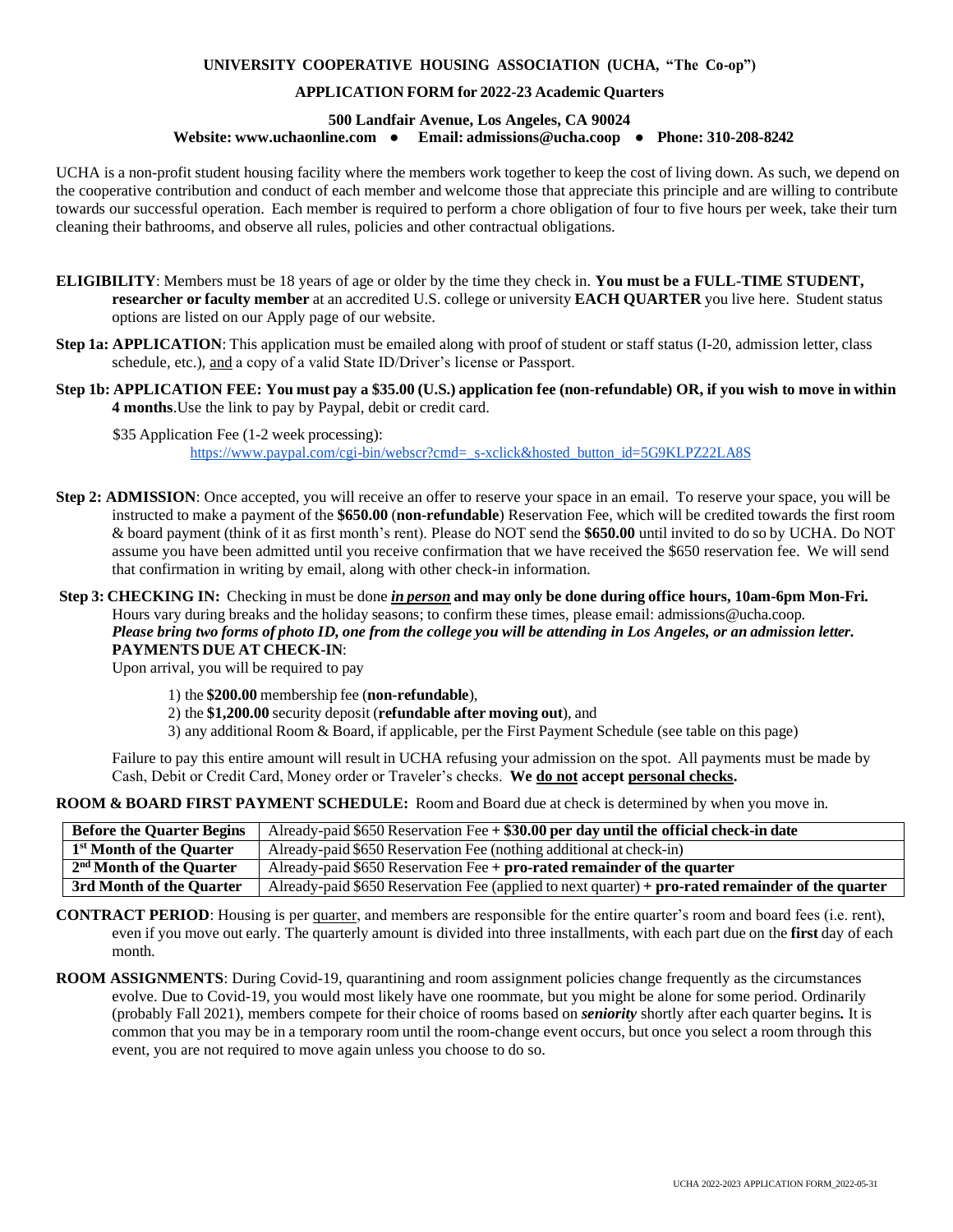## **UNIVERSITY COOPERATIVE HOUSING ASSOCIATION (UCHA, "The Co-op")**

## **APPLICATION FORM for 2022-23 Academic Quarters**

## **500 Landfair Avenue, Los Angeles, CA 90024 Website: [www.uchaonline.com](http://www.uchaonline.com/) ● Email: [admissions@ucha.coop](mailto:admissions@ucha.coop) ● Phone: 310-208-8242**

UCHA is a non-profit student housing facility where the members work together to keep the cost of living down. As such, we depend on the cooperative contribution and conduct of each member and welcome those that appreciate this principle and are willing to contribute towards our successful operation. Each member is required to perform a chore obligation of four to five hours per week, take their turn cleaning their bathrooms, and observe all rules, policies and other contractual obligations.

- **ELIGIBILITY**: Members must be 18 years of age or older by the time they check in. **You must be a FULL-TIME STUDENT, researcher or faculty member** at an accredited U.S. college or university **EACH QUARTER** you live here. Student status options are listed on our Apply page of our website.
- **Step 1a: APPLICATION:** This application must be emailed along with proof of student or staff status (I-20, admission letter, class schedule, etc.), and a copy of a valid State ID/Driver's license or Passport.
- Step 1b: APPLICATION FEE: You must pay a \$35.00 (U.S.) application fee (non-refundable) OR, if you wish to move in within **4 months**.Use the link to pay by Paypal, debit or credit card.

\$35 Application Fee (1-2 week processing): htt[ps://www.paypal.com/cgi-bin/webscr?cmd=\\_s-xclick&hosted\\_button\\_id=5G9KLPZ22LA8S](http://www.paypal.com/cgi-bin/webscr?cmd=_s-xclick&hosted_button_id=5G9KLPZ22LA8S)

- **Step 2: ADMISSION**: Once accepted, you will receive an offer to reserve your space in an email. To reserve your space, you will be instructed to make a payment of the **\$650.00** (**non-refundable**) Reservation Fee, which will be credited towards the first room & board payment (think of it as first month's rent). Please do NOT send the **\$650.00** until invited to do so by UCHA. Do NOT assume you have been admitted until you receive confirmation that we have received the \$650 reservation fee. We will send that confirmation in writing by email, along with other check-in information.
- **Step3: CHECKING IN:** Checking in must be done *inperson***and may only be done during office hours, 10am-6pm Mon-Fri.** Hours vary during breaks and the holiday seasons; to confirm these times, please email: [admissions@ucha.coop.](mailto:admissions@ucha.coop) Please bring two forms of photo ID, one from the college you will be attending in Los Angeles, or an admission letter. **PAYMENTS DUE AT CHECK-IN**:

Upon arrival, you will be required to pay

- 1) the **\$200.00** membership fee (**non-refundable**),
- 2) the **\$1,200.00** security deposit (**refundable after moving out**), and
- 3) any additional Room & Board, if applicable, per the First Payment Schedule (see table on this page)

Failure to pay this entire amount will result in UCHA refusing your admission on the spot. All payments must be made by Cash, Debit or Credit Card, Money order or Traveler's checks. **We do not accept personal checks.**

**ROOM & BOARD FIRST PAYMENT SCHEDULE:** Room and Board due at check is determined by when you move in.

| <b>Before the Quarter Begins</b>                     | Already-paid \$650 Reservation Fee + \$30.00 per day until the official check-in date                      |  |  |  |
|------------------------------------------------------|------------------------------------------------------------------------------------------------------------|--|--|--|
| 1 <sup>st</sup> Month of the Quarter                 | Already-paid \$650 Reservation Fee (nothing additional at check-in)                                        |  |  |  |
| $\frac{1}{2^{nd} \text{ M} \text{ on the } 0}$ arter | Already-paid $$650$ Reservation Fee + pro-rated remainder of the quarter                                   |  |  |  |
| 3rd Month of the Quarter                             | Already-paid \$650 Reservation Fee (applied to next quarter) $+$ <b>pro-rated remainder of the quarter</b> |  |  |  |

**CONTRACT PERIOD**: Housing is per quarter, and members are responsible for the entire quarter's room and board fees (i.e. rent), even if you move out early. The quarterly amount is divided into three installments, with each part due on the **first** day of each month.

**ROOM ASSIGNMENTS**: During Covid-19, quarantining and room assignment policies change frequently as the circumstances evolve. Due to Covid-19, you would most likely have one roommate, but you might be alone for some period. Ordinarily (probably Fall 2021), members compete for their choice of rooms based on *seniority* shortly after each quarter begins*.* It is common that you may be in a temporary room until the room-change event occurs, but once you select a room through this event, you are not required to move again unless you choose to do so.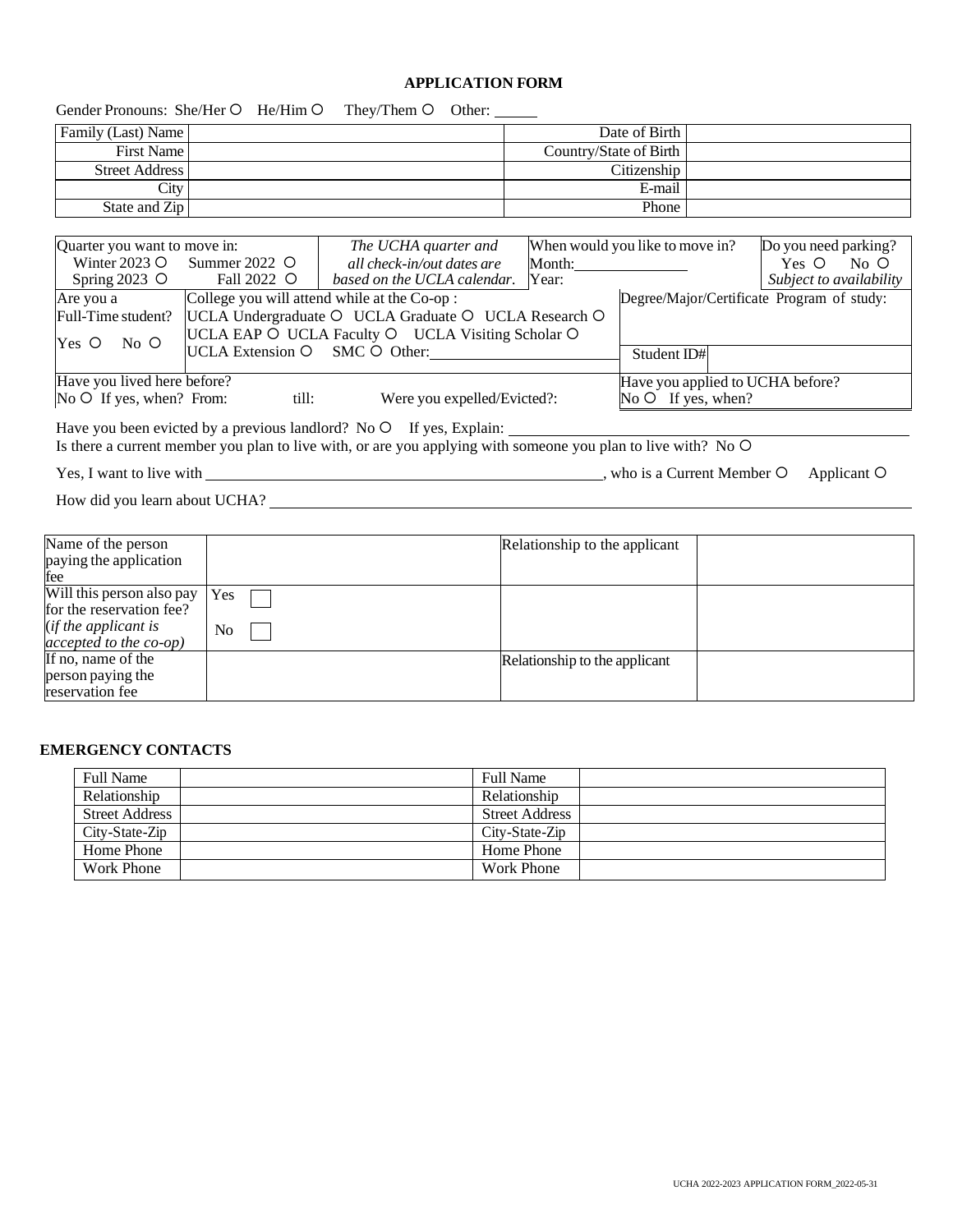## **APPLICATION FORM**

|                                                                        |                     | Gender Pronouns: She/Her O He/Him O They/Them O Other:                                                        |                                  |                                 |                                            |  |
|------------------------------------------------------------------------|---------------------|---------------------------------------------------------------------------------------------------------------|----------------------------------|---------------------------------|--------------------------------------------|--|
| Family (Last) Name                                                     |                     |                                                                                                               |                                  | Date of Birth                   |                                            |  |
| <b>First Name</b>                                                      |                     |                                                                                                               | Country/State of Birth           |                                 |                                            |  |
| <b>Street Address</b>                                                  |                     |                                                                                                               | Citizenship                      |                                 |                                            |  |
| City                                                                   |                     |                                                                                                               |                                  | E-mail                          |                                            |  |
| State and Zip                                                          |                     |                                                                                                               |                                  | Phone                           |                                            |  |
|                                                                        |                     |                                                                                                               |                                  |                                 |                                            |  |
| Quarter you want to move in:                                           |                     | The UCHA quarter and                                                                                          |                                  | When would you like to move in? | Do you need parking?                       |  |
| Winter 2023 $\circ$                                                    | Summer 2022 $\circ$ | all check-in/out dates are                                                                                    |                                  |                                 | Yes O No O                                 |  |
| Spring $2023$ O                                                        | Fall 2022 O         | based on the UCLA calendar. Year:                                                                             |                                  |                                 | Subject to availability                    |  |
| Are you a                                                              |                     | College you will attend while at the Co-op:                                                                   |                                  |                                 | Degree/Major/Certificate Program of study: |  |
| Full-Time student?                                                     |                     | UCLA Undergraduate O UCLA Graduate O UCLA Research O                                                          |                                  |                                 |                                            |  |
|                                                                        |                     | UCLA EAP O UCLA Faculty O UCLA Visiting Scholar O                                                             |                                  |                                 |                                            |  |
| $Yes$ $O$<br>$No$ O                                                    |                     | UCLA Extension O SMC O Other:                                                                                 |                                  | Student ID#                     |                                            |  |
|                                                                        |                     |                                                                                                               |                                  |                                 |                                            |  |
| Have you lived here before?                                            |                     |                                                                                                               | Have you applied to UCHA before? |                                 |                                            |  |
| No $\circ$ If yes, when? From:<br>till:<br>Were you expelled/Evicted?: |                     |                                                                                                               |                                  | No $\circ$ If yes, when?        |                                            |  |
|                                                                        |                     |                                                                                                               |                                  |                                 |                                            |  |
|                                                                        |                     | Is there a current member you plan to live with, or are you applying with someone you plan to live with? No O |                                  |                                 |                                            |  |
|                                                                        |                     |                                                                                                               |                                  |                                 |                                            |  |
|                                                                        |                     |                                                                                                               |                                  |                                 | Applicant O                                |  |
|                                                                        |                     |                                                                                                               |                                  |                                 |                                            |  |
|                                                                        |                     |                                                                                                               |                                  |                                 |                                            |  |
| Name of the person                                                     |                     |                                                                                                               | Relationship to the applicant    |                                 |                                            |  |
| paying the application                                                 |                     |                                                                                                               |                                  |                                 |                                            |  |
| fee                                                                    |                     |                                                                                                               |                                  |                                 |                                            |  |
| Will this person also pay                                              | Yes                 |                                                                                                               |                                  |                                 |                                            |  |
| for the reservation fee?                                               |                     |                                                                                                               |                                  |                                 |                                            |  |
| (if the applicant is                                                   | $N_{\Omega}$        |                                                                                                               |                                  |                                 |                                            |  |

### *accepted to the co-op)* No If no, name of the person paying the reservation fee Relationship to the applicant

# **EMERGENCY CONTACTS**

| <b>Full Name</b>      | <b>Full Name</b>      |
|-----------------------|-----------------------|
| Relationship          | Relationship          |
| <b>Street Address</b> | <b>Street Address</b> |
| City-State-Zip        | City-State-Zip        |
| Home Phone            | Home Phone            |
| Work Phone            | Work Phone            |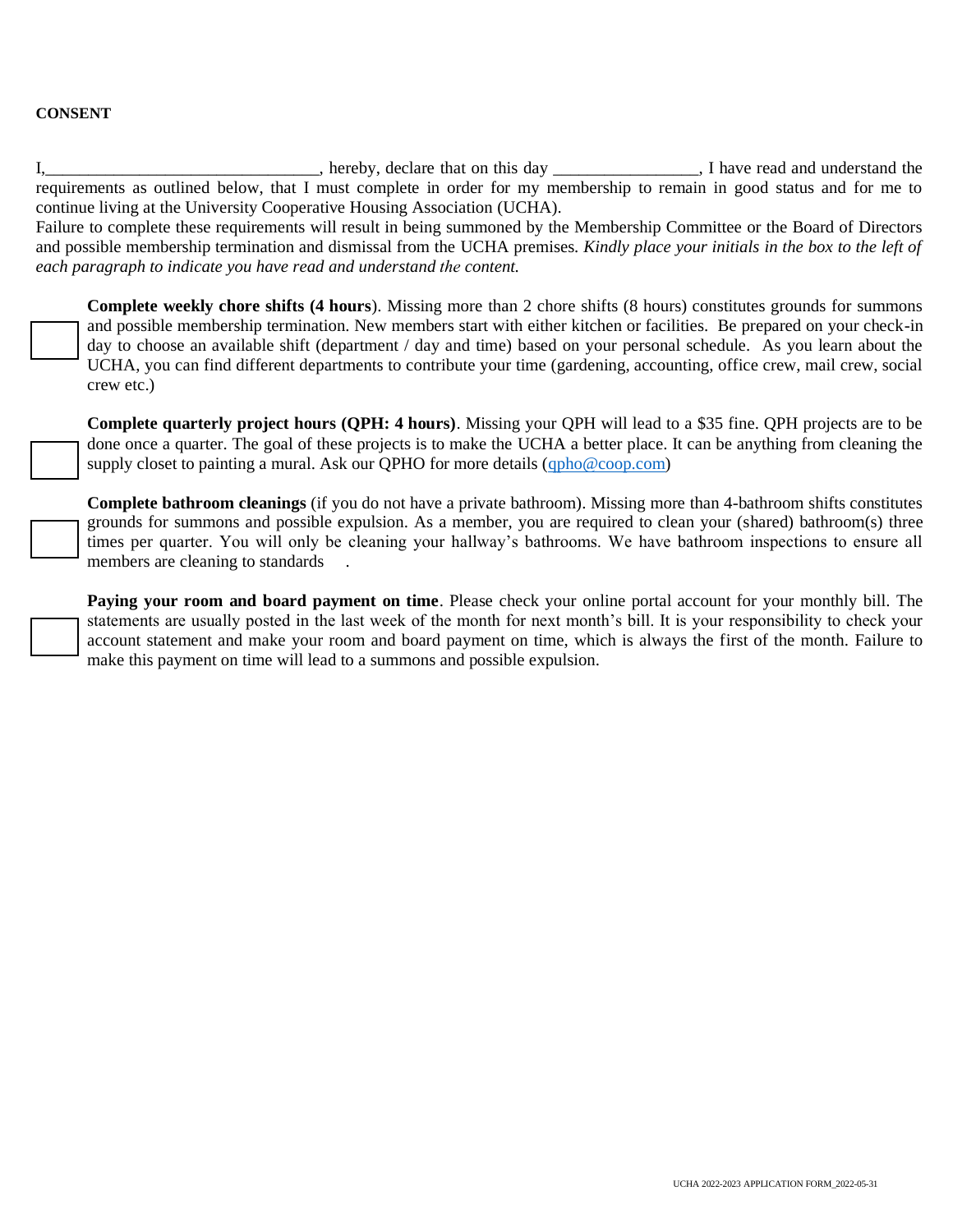## **CONSENT**

I,\_\_\_\_\_\_\_\_\_\_\_\_\_\_\_\_\_\_\_\_\_\_\_\_\_\_\_\_\_\_\_\_, hereby, declare that on this day \_\_\_\_\_\_\_\_\_\_\_\_\_\_\_\_\_, I have read and understand the requirements as outlined below, that I must complete in order for my membership to remain in good status and for me to continue living at the University Cooperative Housing Association (UCHA).

Failure to complete these requirements will result in being summoned by the Membership Committee or the Board of Directors and possible membership termination and dismissal from the UCHA premises*. Kindly place your initials in the box to the left of each paragraph to indicate you have read and understand the content.* 

**Complete weekly chore shifts (4 hours**). Missing more than 2 chore shifts (8 hours) constitutes grounds for summons and possible membership termination. New members start with either kitchen or facilities. Be prepared on your check-in day to choose an available shift (department / day and time) based on your personal schedule. As you learn about the UCHA, you can find different departments to contribute your time (gardening, accounting, office crew, mail crew, social crew etc.)

**Complete quarterly project hours (QPH: 4 hours)**. Missing your QPH will lead to a \$35 fine. QPH projects are to be done once a quarter. The goal of these projects is to make the UCHA a better place. It can be anything from cleaning the supply closet to painting a mural. Ask our QPHO for more details [\(qpho@coop.com\)](mailto:qpho@coop.com)

**Complete bathroom cleanings** (if you do not have a private bathroom). Missing more than 4-bathroom shifts constitutes grounds for summons and possible expulsion. As a member, you are required to clean your (shared) bathroom(s) three times per quarter. You will only be cleaning your hallway's bathrooms. We have bathroom inspections to ensure all members are cleaning to standards

**Paying your room and board payment on time**. Please check your online portal account for your monthly bill. The statements are usually posted in the last week of the month for next month's bill. It is your responsibility to check your account statement and make your room and board payment on time, which is always the first of the month. Failure to make this payment on time will lead to a summons and possible expulsion.